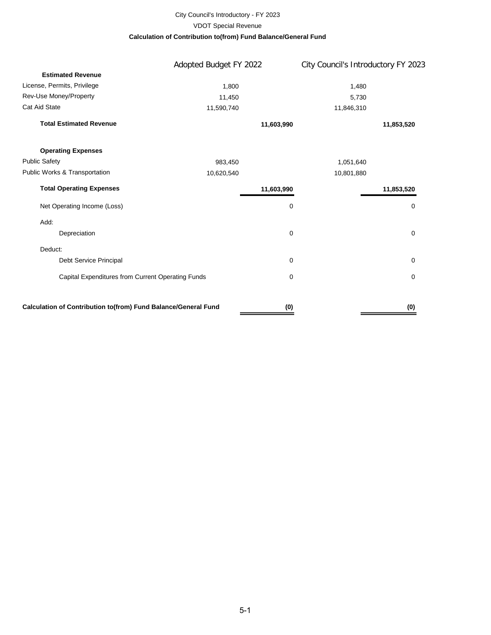#### City Council's Introductory - FY 2023 **Calculation of Contribution to(from) Fund Balance/General Fund** VDOT Special Revenue

|                                                                | Adopted Budget FY 2022 |            | City Council's Introductory FY 2023 |
|----------------------------------------------------------------|------------------------|------------|-------------------------------------|
| <b>Estimated Revenue</b>                                       |                        |            |                                     |
| License, Permits, Privilege                                    | 1,800                  |            | 1,480                               |
| Rev-Use Money/Property                                         | 11,450                 |            | 5,730                               |
| Cat Aid State                                                  | 11,590,740             |            | 11,846,310                          |
| <b>Total Estimated Revenue</b>                                 |                        | 11,603,990 | 11,853,520                          |
| <b>Operating Expenses</b>                                      |                        |            |                                     |
| <b>Public Safety</b>                                           | 983,450                |            | 1,051,640                           |
| Public Works & Transportation                                  | 10,620,540             |            | 10,801,880                          |
| <b>Total Operating Expenses</b>                                |                        | 11,603,990 | 11,853,520                          |
| Net Operating Income (Loss)                                    |                        | 0          | 0                                   |
| Add:                                                           |                        |            |                                     |
| Depreciation                                                   |                        | $\pmb{0}$  | 0                                   |
| Deduct:                                                        |                        |            |                                     |
| Debt Service Principal                                         |                        | 0          | 0                                   |
| Capital Expenditures from Current Operating Funds              |                        | 0          | $\mathbf 0$                         |
| Calculation of Contribution to(from) Fund Balance/General Fund |                        | (0)        | (0)                                 |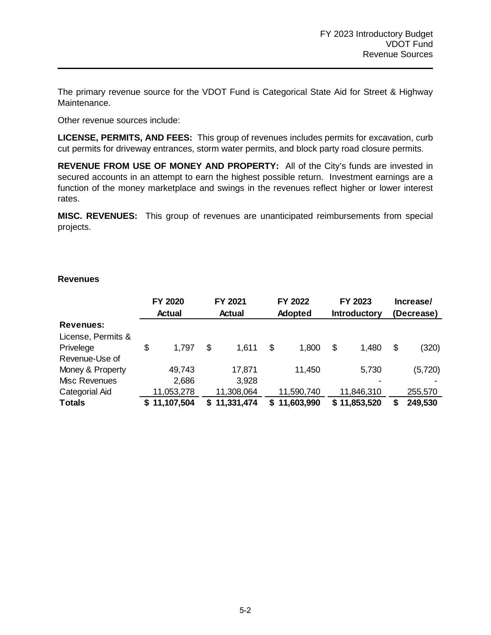The primary revenue source for the VDOT Fund is Categorical State Aid for Street & Highway Maintenance.

Other revenue sources include:

**LICENSE, PERMITS, AND FEES:** This group of revenues includes permits for excavation, curb cut permits for driveway entrances, storm water permits, and block party road closure permits.

**REVENUE FROM USE OF MONEY AND PROPERTY:** All of the City's funds are invested in secured accounts in an attempt to earn the highest possible return. Investment earnings are a function of the money marketplace and swings in the revenues reflect higher or lower interest rates.

**MISC. REVENUES:** This group of revenues are unanticipated reimbursements from special projects.

#### **Revenues**

|                    | FY 2020<br><b>Actual</b> |            | FY 2021<br>Actual |    | FY 2022<br>Adopted | FY 2023<br><b>Introductory</b> |              | Increase/<br>(Decrease) |         |
|--------------------|--------------------------|------------|-------------------|----|--------------------|--------------------------------|--------------|-------------------------|---------|
| <b>Revenues:</b>   |                          |            |                   |    |                    |                                |              |                         |         |
| License, Permits & |                          |            |                   |    |                    |                                |              |                         |         |
| Privelege          | \$                       | 1,797      | \$<br>1,611       | \$ | 1,800              | \$                             | 1,480        | \$                      | (320)   |
| Revenue-Use of     |                          |            |                   |    |                    |                                |              |                         |         |
| Money & Property   |                          | 49,743     | 17,871            |    | 11,450             |                                | 5,730        |                         | (5,720) |
| Misc Revenues      |                          | 2,686      | 3,928             |    |                    |                                |              |                         |         |
| Categorial Aid     |                          | 11,053,278 | 11,308,064        |    | 11,590,740         |                                | 11,846,310   |                         | 255,570 |
| <b>Totals</b>      |                          | 11,107,504 | \$11,331,474      | S. | 11,603,990         |                                | \$11,853,520 |                         | 249,530 |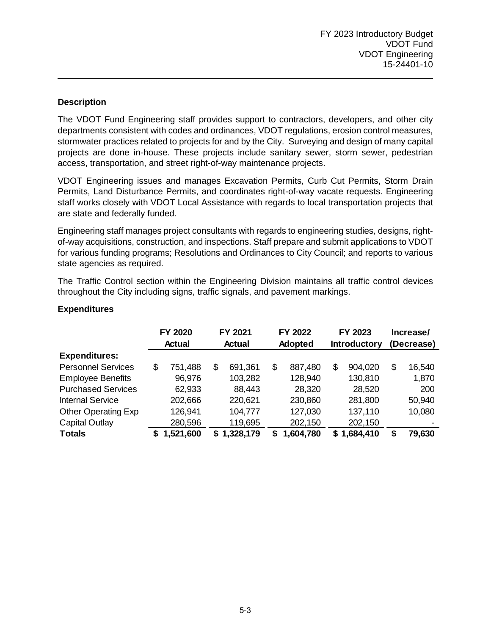### **Description**

The VDOT Fund Engineering staff provides support to contractors, developers, and other city departments consistent with codes and ordinances, VDOT regulations, erosion control measures, stormwater practices related to projects for and by the City. Surveying and design of many capital projects are done in-house. These projects include sanitary sewer, storm sewer, pedestrian access, transportation, and street right-of-way maintenance projects.

VDOT Engineering issues and manages Excavation Permits, Curb Cut Permits, Storm Drain Permits, Land Disturbance Permits, and coordinates right-of-way vacate requests. Engineering staff works closely with VDOT Local Assistance with regards to local transportation projects that are state and federally funded.

Engineering staff manages project consultants with regards to engineering studies, designs, rightof-way acquisitions, construction, and inspections. Staff prepare and submit applications to VDOT for various funding programs; Resolutions and Ordinances to City Council; and reports to various state agencies as required.

The Traffic Control section within the Engineering Division maintains all traffic control devices throughout the City including signs, traffic signals, and pavement markings.

|                            | FY 2020       |           | FY 2021<br>FY 2022 |             | FY 2023        |           | Increase/           |           |            |        |
|----------------------------|---------------|-----------|--------------------|-------------|----------------|-----------|---------------------|-----------|------------|--------|
|                            | <b>Actual</b> |           | <b>Actual</b>      |             | <b>Adopted</b> |           | <b>Introductory</b> |           | (Decrease) |        |
| <b>Expenditures:</b>       |               |           |                    |             |                |           |                     |           |            |        |
| <b>Personnel Services</b>  | \$            | 751,488   | \$.                | 691,361     | \$             | 887,480   | \$                  | 904,020   | \$         | 16,540 |
| <b>Employee Benefits</b>   |               | 96,976    |                    | 103,282     |                | 128,940   |                     | 130,810   |            | 1,870  |
| <b>Purchased Services</b>  |               | 62,933    |                    | 88,443      |                | 28,320    |                     | 28,520    |            | 200    |
| <b>Internal Service</b>    |               | 202,666   |                    | 220,621     |                | 230,860   |                     | 281,800   |            | 50,940 |
| <b>Other Operating Exp</b> |               | 126,941   |                    | 104,777     |                | 127,030   |                     | 137,110   |            | 10,080 |
| <b>Capital Outlay</b>      |               | 280,596   |                    | 119,695     |                | 202,150   |                     | 202,150   |            |        |
| <b>Totals</b>              |               | 1,521,600 |                    | \$1,328,179 | S              | 1,604,780 | S                   | 1,684,410 | \$         | 79,630 |

### **Expenditures**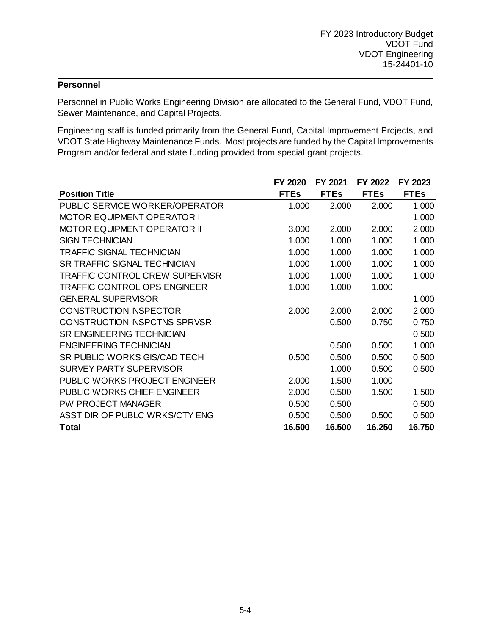## **Personnel**

Personnel in Public Works Engineering Division are allocated to the General Fund, VDOT Fund, Sewer Maintenance, and Capital Projects.

Engineering staff is funded primarily from the General Fund, Capital Improvement Projects, and VDOT State Highway Maintenance Funds. Most projects are funded by the Capital Improvements Program and/or federal and state funding provided from special grant projects.

|                                       | FY 2020     | FY 2021     | FY 2022     | FY 2023     |
|---------------------------------------|-------------|-------------|-------------|-------------|
| <b>Position Title</b>                 | <b>FTEs</b> | <b>FTEs</b> | <b>FTEs</b> | <b>FTEs</b> |
| PUBLIC SERVICE WORKER/OPERATOR        | 1.000       | 2.000       | 2.000       | 1.000       |
| <b>MOTOR EQUIPMENT OPERATOR I</b>     |             |             |             | 1.000       |
| <b>MOTOR EQUIPMENT OPERATOR II</b>    | 3.000       | 2.000       | 2.000       | 2.000       |
| <b>SIGN TECHNICIAN</b>                | 1.000       | 1.000       | 1.000       | 1.000       |
| TRAFFIC SIGNAL TECHNICIAN             | 1.000       | 1.000       | 1.000       | 1.000       |
| <b>SR TRAFFIC SIGNAL TECHNICIAN</b>   | 1.000       | 1.000       | 1.000       | 1.000       |
| <b>TRAFFIC CONTROL CREW SUPERVISR</b> | 1.000       | 1.000       | 1.000       | 1.000       |
| <b>TRAFFIC CONTROL OPS ENGINEER</b>   | 1.000       | 1.000       | 1.000       |             |
| <b>GENERAL SUPERVISOR</b>             |             |             |             | 1.000       |
| <b>CONSTRUCTION INSPECTOR</b>         | 2.000       | 2.000       | 2.000       | 2.000       |
| <b>CONSTRUCTION INSPCTNS SPRVSR</b>   |             | 0.500       | 0.750       | 0.750       |
| <b>SR ENGINEERING TECHNICIAN</b>      |             |             |             | 0.500       |
| <b>ENGINEERING TECHNICIAN</b>         |             | 0.500       | 0.500       | 1.000       |
| SR PUBLIC WORKS GIS/CAD TECH          | 0.500       | 0.500       | 0.500       | 0.500       |
| <b>SURVEY PARTY SUPERVISOR</b>        |             | 1.000       | 0.500       | 0.500       |
| PUBLIC WORKS PROJECT ENGINEER         | 2.000       | 1.500       | 1.000       |             |
| PUBLIC WORKS CHIEF ENGINEER           | 2.000       | 0.500       | 1.500       | 1.500       |
| PW PROJECT MANAGER                    | 0.500       | 0.500       |             | 0.500       |
| ASST DIR OF PUBLC WRKS/CTY ENG        | 0.500       | 0.500       | 0.500       | 0.500       |
| <b>Total</b>                          | 16.500      | 16.500      | 16.250      | 16.750      |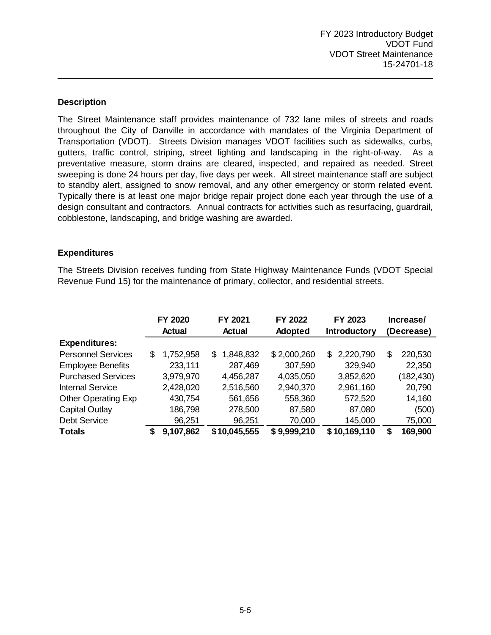### **Description**

The Street Maintenance staff provides maintenance of 732 lane miles of streets and roads throughout the City of Danville in accordance with mandates of the Virginia Department of Transportation (VDOT). Streets Division manages VDOT facilities such as sidewalks, curbs, gutters, traffic control, striping, street lighting and landscaping in the right-of-way. As a preventative measure, storm drains are cleared, inspected, and repaired as needed. Street sweeping is done 24 hours per day, five days per week. All street maintenance staff are subject to standby alert, assigned to snow removal, and any other emergency or storm related event. Typically there is at least one major bridge repair project done each year through the use of a design consultant and contractors. Annual contracts for activities such as resurfacing, guardrail, cobblestone, landscaping, and bridge washing are awarded.

#### **Expenditures**

The Streets Division receives funding from State Highway Maintenance Funds (VDOT Special Revenue Fund 15) for the maintenance of primary, collector, and residential streets.

|                            | FY 2020 |           | FY 2021 |              | FY 2022     |  | FY 2023             |    | Increase/  |  |
|----------------------------|---------|-----------|---------|--------------|-------------|--|---------------------|----|------------|--|
|                            |         | Actual    |         | Actual       | Adopted     |  | <b>Introductory</b> |    | (Decrease) |  |
| <b>Expenditures:</b>       |         |           |         |              |             |  |                     |    |            |  |
| <b>Personnel Services</b>  | \$      | 1,752,958 | \$      | 1,848,832    | \$2,000,260 |  | \$2,220,790         | \$ | 220,530    |  |
| <b>Employee Benefits</b>   |         | 233,111   |         | 287,469      | 307,590     |  | 329,940             |    | 22,350     |  |
| <b>Purchased Services</b>  |         | 3,979,970 |         | 4,456,287    | 4,035,050   |  | 3,852,620           |    | (182,430)  |  |
| <b>Internal Service</b>    |         | 2,428,020 |         | 2,516,560    | 2,940,370   |  | 2,961,160           |    | 20,790     |  |
| <b>Other Operating Exp</b> |         | 430,754   |         | 561,656      | 558,360     |  | 572,520             |    | 14,160     |  |
| <b>Capital Outlay</b>      |         | 186,798   |         | 278,500      | 87,580      |  | 87,080              |    | (500)      |  |
| <b>Debt Service</b>        |         | 96,251    |         | 96,251       | 70,000      |  | 145,000             |    | 75,000     |  |
| <b>Totals</b>              | S       | 9,107,862 |         | \$10,045,555 | \$9,999,210 |  | \$10,169,110        | S  | 169,900    |  |